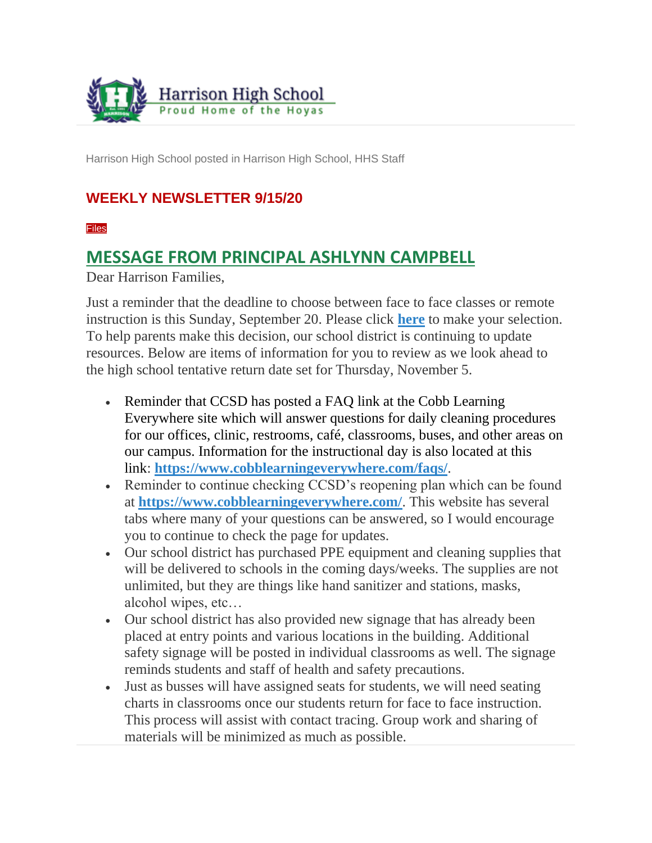

Harrison High School posted in Harrison High School, HHS Staff

### **WEEKLY NEWSLETTER 9/15/20**

[Files](https://ctlsparent.cobbk12.org/feeds/4323153?key=UjX0H9VXgwmOLUxY5IWuCQ&token=yBfvR8KkYuxAY9v5JnN-1Q#feed_4323153_extras)

### **MESSAGE FROM PRINCIPAL ASHLYNN CAMPBELL**

Dear Harrison Families,

Just a reminder that the deadline to choose between face to face classes or remote instruction is this Sunday, September 20. Please click **[here](https://parentvue.cobbk12.org/PXP2_Login_Parent.aspx?regenerateSessionId=True)** to make your selection. To help parents make this decision, our school district is continuing to update resources. Below are items of information for you to review as we look ahead to the high school tentative return date set for Thursday, November 5.

- Reminder that CCSD has posted a FAQ link at the Cobb Learning Everywhere site which will answer questions for daily cleaning procedures for our offices, clinic, restrooms, café, classrooms, buses, and other areas on our campus. Information for the instructional day is also located at this link: **<https://www.cobblearningeverywhere.com/faqs/>**.
- Reminder to continue checking CCSD's reopening plan which can be found at **<https://www.cobblearningeverywhere.com/>**. This website has several tabs where many of your questions can be answered, so I would encourage you to continue to check the page for updates.
- Our school district has purchased PPE equipment and cleaning supplies that will be delivered to schools in the coming days/weeks. The supplies are not unlimited, but they are things like hand sanitizer and stations, masks, alcohol wipes, etc…
- Our school district has also provided new signage that has already been placed at entry points and various locations in the building. Additional safety signage will be posted in individual classrooms as well. The signage reminds students and staff of health and safety precautions.
- Just as busses will have assigned seats for students, we will need seating charts in classrooms once our students return for face to face instruction. This process will assist with contact tracing. Group work and sharing of materials will be minimized as much as possible.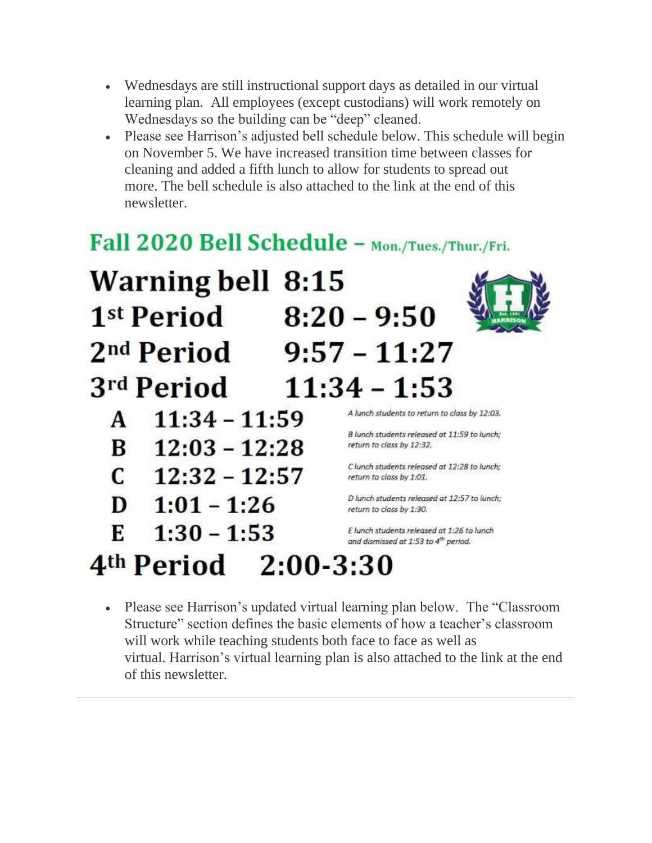- Wednesdays are still instructional support days as detailed in our virtual learning plan. All employees (except custodians) will work remotely on Wednesdays so the building can be "deep" cleaned.
- Please see Harrison's adjusted bell schedule below. This schedule will begin on November 5. We have increased transition time between classes for cleaning and added a fifth lunch to allow for students to spread out more. The bell schedule is also attached to the link at the end of this newsletter.

# Fall 2020 Bell Schedule - Mon./Tues./Thur./Fri.



• Please see Harrison's updated virtual learning plan below. The "Classroom" Structure" section defines the basic elements of how a teacher's classroom will work while teaching students both face to face as well as virtual. Harrison's virtual learning plan is also attached to the link at the end of this newsletter.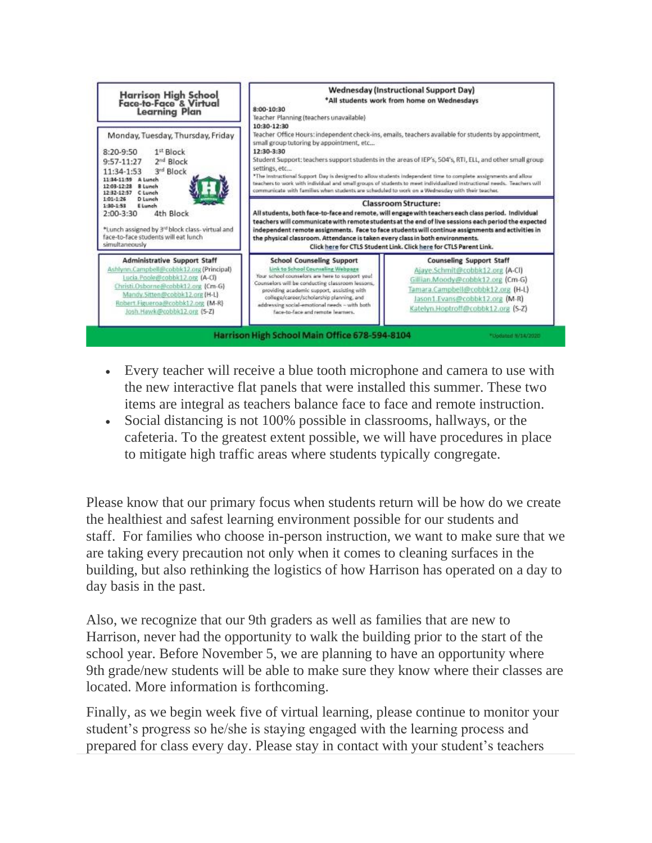

- Every teacher will receive a blue tooth microphone and camera to use with the new interactive flat panels that were installed this summer. These two items are integral as teachers balance face to face and remote instruction.
- Social distancing is not 100% possible in classrooms, hallways, or the cafeteria. To the greatest extent possible, we will have procedures in place to mitigate high traffic areas where students typically congregate.

Please know that our primary focus when students return will be how do we create the healthiest and safest learning environment possible for our students and staff. For families who choose in-person instruction, we want to make sure that we are taking every precaution not only when it comes to cleaning surfaces in the building, but also rethinking the logistics of how Harrison has operated on a day to day basis in the past.

Also, we recognize that our 9th graders as well as families that are new to Harrison, never had the opportunity to walk the building prior to the start of the school year. Before November 5, we are planning to have an opportunity where 9th grade/new students will be able to make sure they know where their classes are located. More information is forthcoming.

Finally, as we begin week five of virtual learning, please continue to monitor your student's progress so he/she is staying engaged with the learning process and prepared for class every day. Please stay in contact with your student's teachers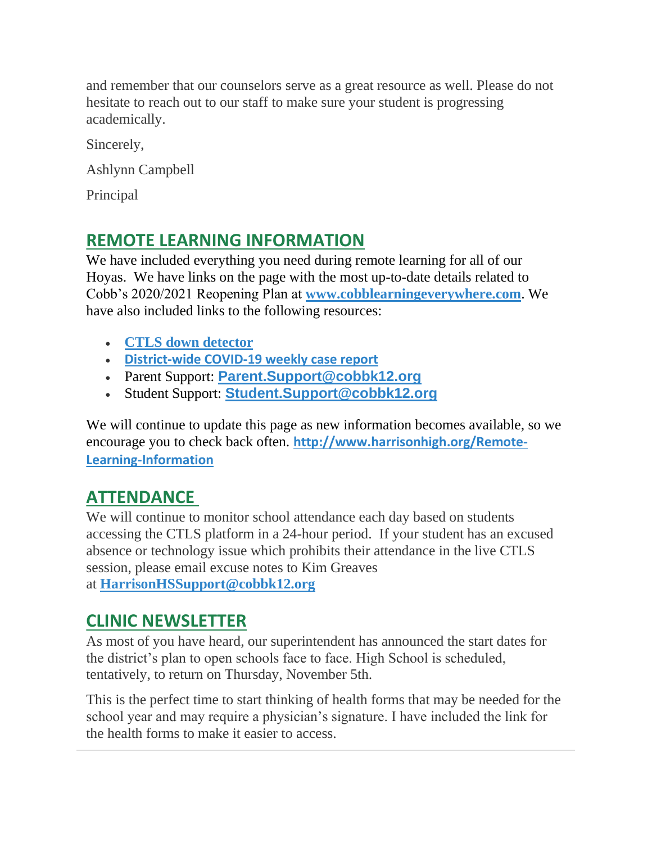and remember that our counselors serve as a great resource as well. Please do not hesitate to reach out to our staff to make sure your student is progressing academically.

Sincerely,

Ashlynn Campbell

Principal

### **REMOTE LEARNING INFORMATION**

We have included everything you need during remote learning for all of our Hoyas. We have links on the page with the most up-to-date details related to Cobb's 2020/2021 Reopening Plan at **[www.cobblearningeverywhere.com](http://www.cobblearningeverywhere.com/)**. We have also included links to the following resources:

- **[CTLS down detector](https://status.educationincites.com/)**
- **[District-wide COVID-19 weekly case report](https://www.cobblearningeverywhere.com/cases/)**
- Parent Support: **[Parent.Support@cobbk12.org](mailto:CTLSParent.Support@cobbk12.org)**
- Student Support: **[Student.Support@cobbk12.org](mailto:CTLSStudent.Support@cobbk12.org)**

We will continue to update this page as new information becomes available, so we encourage you to check back often. **[http://www.harrisonhigh.org/Remote-](http://www.harrisonhigh.org/Remote-Learning-Information)[Learning-Information](http://www.harrisonhigh.org/Remote-Learning-Information)**

### **ATTENDANCE**

We will continue to monitor school attendance each day based on students accessing the CTLS platform in a 24-hour period. If your student has an excused absence or technology issue which prohibits their attendance in the live CTLS session, please email excuse notes to Kim Greaves at **[HarrisonHSSupport@cobbk12.org](mailto:HarrisonHSSupport@cobbk12.org)**

### **CLINIC NEWSLETTER**

As most of you have heard, our superintendent has announced the start dates for the district's plan to open schools face to face. High School is scheduled, tentatively, to return on Thursday, November 5th.

This is the perfect time to start thinking of health forms that may be needed for the school year and may require a physician's signature. I have included the link for the health forms to make it easier to access.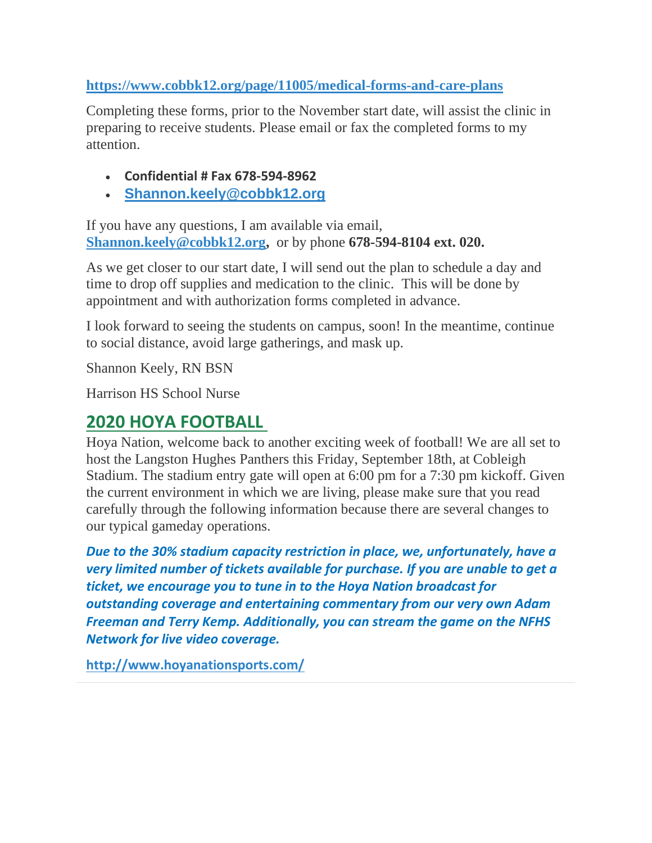#### **<https://www.cobbk12.org/page/11005/medical-forms-and-care-plans>**

Completing these forms, prior to the November start date, will assist the clinic in preparing to receive students. Please email or fax the completed forms to my attention.

- **Confidential # Fax 678-594-8962**
- **[Shannon.keely@cobbk12.org](mailto:Shannon.Keely@cobbk12.org)**

If you have any questions, I am available via email, **[Shannon.keely@cobbk12.org,](mailto:Shannon.Keely@cobbk12.org)** or by phone **678-594-8104 ext. 020.**

As we get closer to our start date, I will send out the plan to schedule a day and time to drop off supplies and medication to the clinic. This will be done by appointment and with authorization forms completed in advance.

I look forward to seeing the students on campus, soon! In the meantime, continue to social distance, avoid large gatherings, and mask up.

Shannon Keely, RN BSN

Harrison HS School Nurse

### **2020 HOYA FOOTBALL**

Hoya Nation, welcome back to another exciting week of football! We are all set to host the Langston Hughes Panthers this Friday, September 18th, at Cobleigh Stadium. The stadium entry gate will open at 6:00 pm for a 7:30 pm kickoff. Given the current environment in which we are living, please make sure that you read carefully through the following information because there are several changes to our typical gameday operations.

*Due to the 30% stadium capacity restriction in place, we, unfortunately, have a very limited number of tickets available for purchase. If you are unable to get a ticket, we encourage you to tune in to the Hoya Nation broadcast for outstanding coverage and entertaining commentary from our very own Adam Freeman and Terry Kemp. Additionally, you can stream the game on the NFHS Network for live video coverage.*

**<http://www.hoyanationsports.com/>**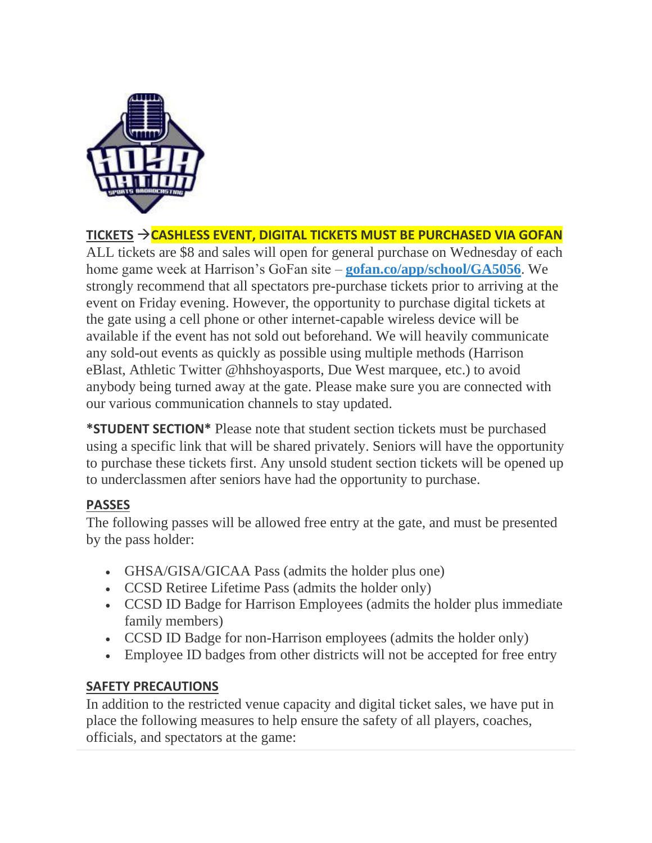

#### **TICKETS** →**CASHLESS EVENT, DIGITAL TICKETS MUST BE PURCHASED VIA GOFAN**

ALL tickets are \$8 and sales will open for general purchase on Wednesday of each home game week at Harrison's GoFan site – **[gofan.co/app/school/GA5056](https://gofan.co/app/school/GA5056)**. We strongly recommend that all spectators pre-purchase tickets prior to arriving at the event on Friday evening. However, the opportunity to purchase digital tickets at the gate using a cell phone or other internet-capable wireless device will be available if the event has not sold out beforehand. We will heavily communicate any sold-out events as quickly as possible using multiple methods (Harrison eBlast, Athletic Twitter @hhshoyasports, Due West marquee, etc.) to avoid anybody being turned away at the gate. Please make sure you are connected with our various communication channels to stay updated.

**\*STUDENT SECTION\*** Please note that student section tickets must be purchased using a specific link that will be shared privately. Seniors will have the opportunity to purchase these tickets first. Any unsold student section tickets will be opened up to underclassmen after seniors have had the opportunity to purchase.

#### **PASSES**

The following passes will be allowed free entry at the gate, and must be presented by the pass holder:

- GHSA/GISA/GICAA Pass (admits the holder plus one)
- CCSD Retiree Lifetime Pass (admits the holder only)
- CCSD ID Badge for Harrison Employees (admits the holder plus immediate family members)
- CCSD ID Badge for non-Harrison employees (admits the holder only)
- Employee ID badges from other districts will not be accepted for free entry

#### **SAFETY PRECAUTIONS**

In addition to the restricted venue capacity and digital ticket sales, we have put in place the following measures to help ensure the safety of all players, coaches, officials, and spectators at the game: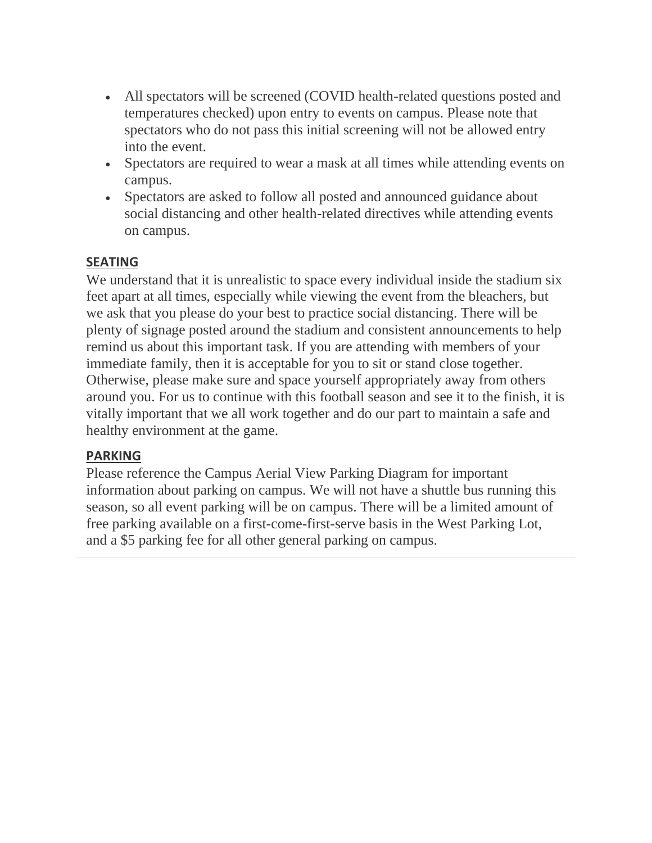- All spectators will be screened (COVID health-related questions posted and temperatures checked) upon entry to events on campus. Please note that spectators who do not pass this initial screening will not be allowed entry into the event.
- Spectators are required to wear a mask at all times while attending events on campus.
- Spectators are asked to follow all posted and announced guidance about social distancing and other health-related directives while attending events on campus.

#### **SEATING**

We understand that it is unrealistic to space every individual inside the stadium six feet apart at all times, especially while viewing the event from the bleachers, but we ask that you please do your best to practice social distancing. There will be plenty of signage posted around the stadium and consistent announcements to help remind us about this important task. If you are attending with members of your immediate family, then it is acceptable for you to sit or stand close together. Otherwise, please make sure and space yourself appropriately away from others around you. For us to continue with this football season and see it to the finish, it is vitally important that we all work together and do our part to maintain a safe and healthy environment at the game.

#### **PARKING**

Please reference the Campus Aerial View Parking Diagram for important information about parking on campus. We will not have a shuttle bus running this season, so all event parking will be on campus. There will be a limited amount of free parking available on a first-come-first-serve basis in the West Parking Lot, and a \$5 parking fee for all other general parking on campus.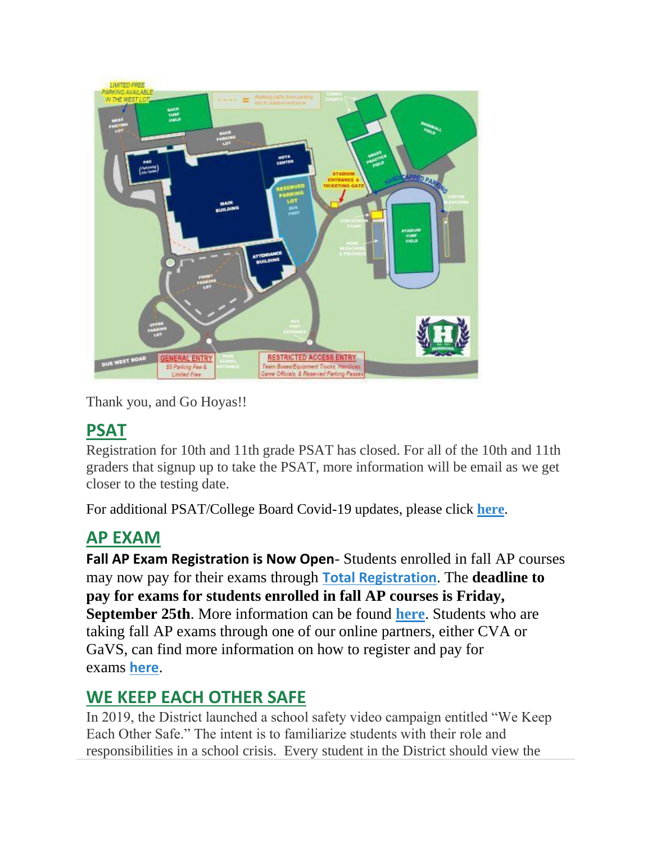

Thank you, and Go Hoyas!!

### **PSAT**

Registration for 10th and 11th grade PSAT has closed. For all of the 10th and 11th graders that signup up to take the PSAT, more information will be email as we get closer to the testing date.

For additional PSAT/College Board Covid-19 updates, please click **[here](https://pages.collegeboard.org/sat-covid-19-updates)**.

### **AP EXAM**

**Fall AP Exam Registration is Now Open**- Students enrolled in fall AP courses may now pay for their exams through **[Total Registration](https://user.totalregistration.net/AP/111734)**. The **deadline to pay for exams for students enrolled in fall AP courses is Friday, September 25th**. More information can be found **[here](https://cobbk12org-my.sharepoint.com/:b:/g/personal/lucia_poole_cobbk12_org/EcBCnM0idWpEvLnLEG6H0fYBvWSJ1G1FeCi62Q1r9dj0qA?e=mnOzcN)**. Students who are taking fall AP exams through one of our online partners, either CVA or GaVS, can find more information on how to register and pay for exams **[here](https://cobbk12org-my.sharepoint.com/:b:/g/personal/lucia_poole_cobbk12_org/ERocmsi22YBEgWMQVxm35UwBIlpEVyWiQX8kjfupGWgYXQ?e=QApaPd)**.

# **WE KEEP EACH OTHER SAFE**

In 2019, the District launched a school safety video campaign entitled "We Keep Each Other Safe." The intent is to familiarize students with their role and responsibilities in a school crisis. Every student in the District should view the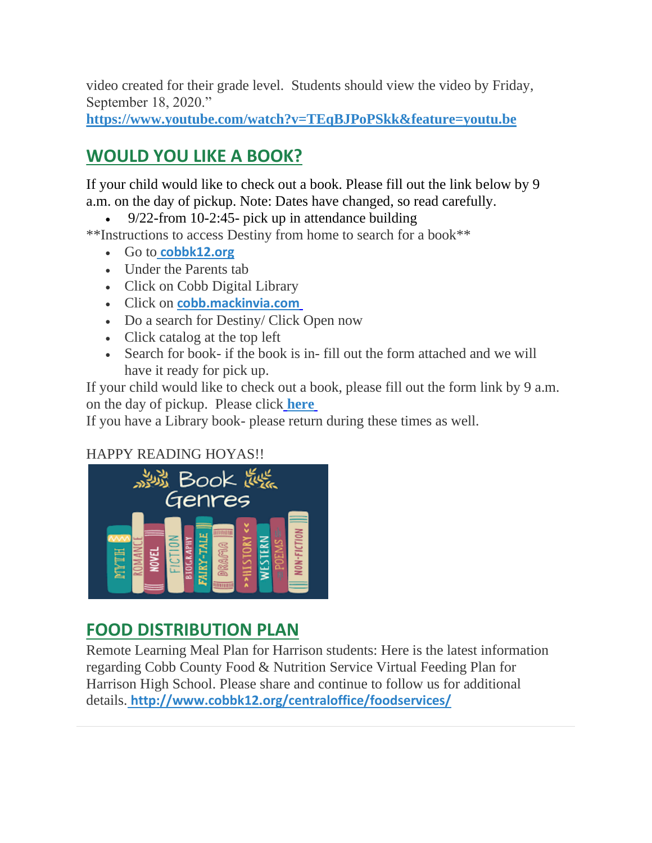video created for their grade level. Students should view the video by Friday, September 18, 2020."

**https://www.youtube.com/watch?v=TEqBJPoPSkk&feature=youtu.be**

# **WOULD YOU LIKE A BOOK?**

If your child would like to check out a book. Please fill out the link below by 9 a.m. on the day of pickup. Note: Dates have changed, so read carefully.

• 9/22-from 10-2:45- pick up in attendance building

\*\*Instructions to access Destiny from home to search for a book\*\*

- Go to **[cobbk12.org](https://www.cobbk12.org/)**
- Under the Parents tab
- Click on Cobb Digital Library
- Click on **[cobb.mackinvia.com](https://cobb.mackinvia.com/groups?groupName=all)**
- Do a search for Destiny/ Click Open now
- Click catalog at the top left
- Search for book- if the book is in- fill out the form attached and we will have it ready for pick up.

If your child would like to check out a book, please fill out the form link by 9 a.m. on the day of pickup. Please click **[here](https://forms.office.com/Pages/ResponsePage.aspx?id=-x3OL5-ROEmquMR_D8kYLZ8d62ibOd5NpTUkj3zhIkhUNUhOVFROVDRJT0FTVVlDVFhRSDhHODdTUS4u)**

If you have a Library book- please return during these times as well.

### HAPPY READING HOYAS!!



### **FOOD DISTRIBUTION PLAN**

Remote Learning Meal Plan for Harrison students: Here is the latest information regarding Cobb County Food & Nutrition Service Virtual Feeding Plan for Harrison High School. Please share and continue to follow us for additional details. **[http://www.cobbk12.org/centraloffice/foodservices/](http://info.cobbk12.org/centraloffice/foodservices/)**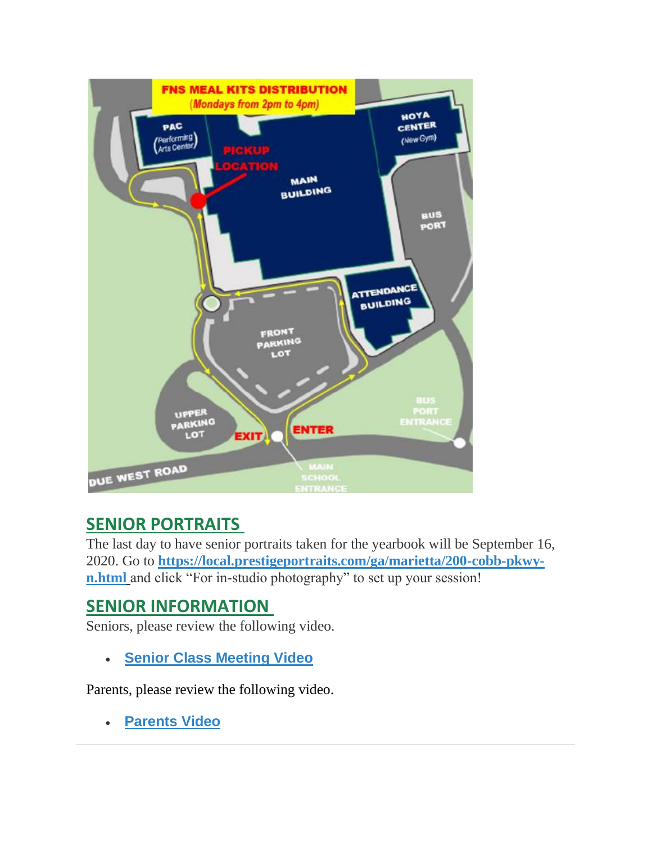

### **SENIOR PORTRAITS**

The last day to have senior portraits taken for the yearbook will be September 16, 2020. Go to **[https://local.prestigeportraits.com/ga/marietta/200-cobb-pkwy](https://nam03.safelinks.protection.outlook.com/?url=https%3A%2F%2Flocal.prestigeportraits.com%2Fga%2Fmarietta%2F200-cobb-pkwy-n.html&data=02%7C01%7Cmelody.madray%40cobbk12.org%7Cf867f1ffe2974243e13308d8493a4652%7C2fce1dfb919f4938aab8c47f0fc9182d%7C0%7C0%7C637339861919609743&sdata=DPfRENf3QIICR5bofRsUToEn79%2FHTgKpNfVp803Xw5U%3D&reserved=0)[n.html](https://nam03.safelinks.protection.outlook.com/?url=https%3A%2F%2Flocal.prestigeportraits.com%2Fga%2Fmarietta%2F200-cobb-pkwy-n.html&data=02%7C01%7Cmelody.madray%40cobbk12.org%7Cf867f1ffe2974243e13308d8493a4652%7C2fce1dfb919f4938aab8c47f0fc9182d%7C0%7C0%7C637339861919609743&sdata=DPfRENf3QIICR5bofRsUToEn79%2FHTgKpNfVp803Xw5U%3D&reserved=0)** and click "For in-studio photography" to set up your session!

### **SENIOR INFORMATION**

Seniors, please review the following video.

• **[Senior Class Meeting Video](https://vimeo.com/452270720/a229e01e97)**

Parents, please review the following video.

• **[Parents Video](https://youtu.be/Y6hxOOJn-YY)**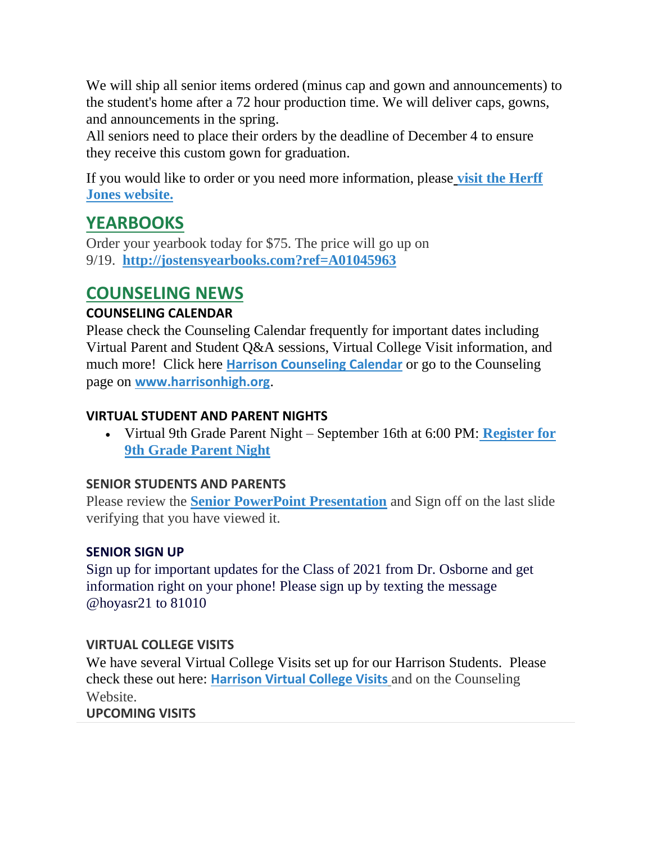We will ship all senior items ordered (minus cap and gown and announcements) to the student's home after a 72 hour production time. We will deliver caps, gowns, and announcements in the spring.

All seniors need to place their orders by the deadline of December 4 to ensure they receive this custom gown for graduation.

If you would like to order or you need more information, please **[visit the Herff](https://www.herffatlanta.com/)  [Jones website.](https://www.herffatlanta.com/)**

### **YEARBOOKS**

Order your yearbook today for \$75. The price will go up on 9/19. **[http://jostensyearbooks.com?ref=A01045963](http://jostensyearbooks.com/?ref=A01045963)**

### **COUNSELING NEWS**

#### **COUNSELING CALENDAR**

Please check the Counseling Calendar frequently for important dates including Virtual Parent and Student Q&A sessions, Virtual College Visit information, and much more! Click here **[Harrison Counseling Calendar](https://calendar.google.com/calendar/embed?src=tasr4q5spailsj1itftjdtn6mk%40group.calendar.google.com&ctz=America%2FNew_York)** or go to the Counseling page on **[www.harrisonhigh.org](http://www.harrisonhigh.org/)**.

#### **VIRTUAL STUDENT AND PARENT NIGHTS**

• Virtual 9th Grade Parent Night – September 16th at 6:00 PM: **[Register for](https://forms.office.com/Pages/ResponsePage.aspx?id=-x3OL5-ROEmquMR_D8kYLWW85uR8aLBInItPvCDivwpUQk45TFowVTBIM0dIMzZYMDAyWTZHV1NCTS4u)  [9th Grade Parent Night](https://forms.office.com/Pages/ResponsePage.aspx?id=-x3OL5-ROEmquMR_D8kYLWW85uR8aLBInItPvCDivwpUQk45TFowVTBIM0dIMzZYMDAyWTZHV1NCTS4u)**

#### **SENIOR STUDENTS AND PARENTS**

Please review the **[Senior PowerPoint Presentation](https://docs.google.com/presentation/d/e/2PACX-1vSmq272lb0wOG2S3YnWHp2etJVzf8Knhj_K-_Xasw_V4Hxa3tQ1sl5D5fQM7X1TvQ/pub?start=true&loop=false&delayms=60000)** and Sign off on the last slide verifying that you have viewed it.

#### **SENIOR SIGN UP**

Sign up for important updates for the Class of 2021 from Dr. Osborne and get information right on your phone! Please sign up by texting the message @hoyasr21 to 81010

#### **VIRTUAL COLLEGE VISITS**

We have several Virtual College Visits set up for our Harrison Students. Please check these out here: **[Harrison Virtual College Visits](https://cobbk12org-my.sharepoint.com/:x:/g/personal/leanna_kor_cobbk12_org/EWP6BGgLdCBOvhv5RDRuCVwBqHA2jXXmnAUqr7hXgxEU7w?rtime=t-E10MJN2Eg)** and on the Counseling Website.

#### **UPCOMING VISITS**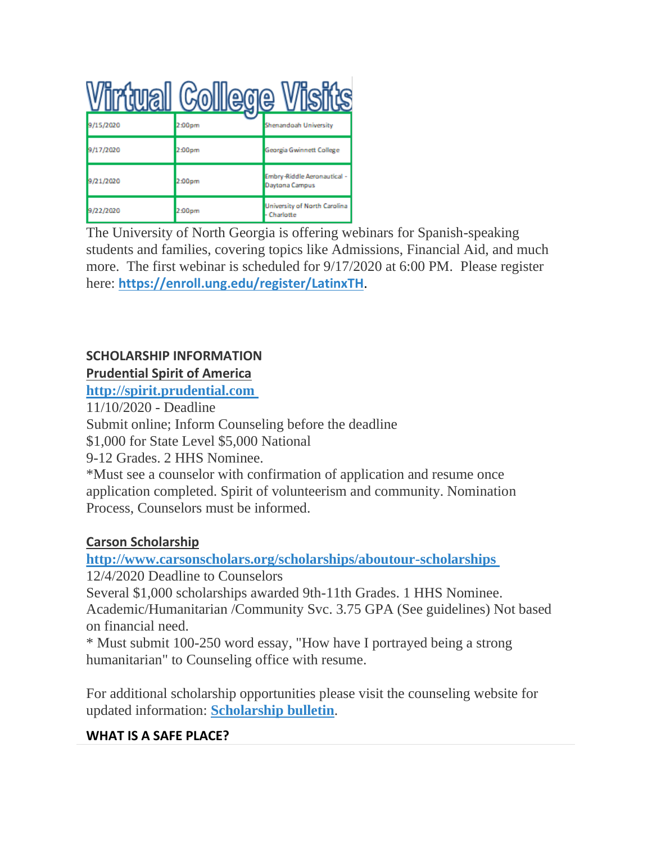|           | <b>Avall College V</b> |                                               |
|-----------|------------------------|-----------------------------------------------|
| 9/15/2020 | 2:00pm                 | Shenandoah University                         |
| 9/17/2020 | 2:00pm                 | Georgia Gwinnett College                      |
| 9/21/2020 | 2:00pm                 | Embry-Riddle Aeronautical -<br>Daytona Campus |
| 9/22/2020 | 2:00pm                 | University of North Carolina<br>- Charlotte   |

The University of North Georgia is offering webinars for Spanish-speaking students and families, covering topics like Admissions, Financial Aid, and much more. The first webinar is scheduled for 9/17/2020 at 6:00 PM. Please register here: **[https://enroll.ung.edu/register/LatinxTH](https://nam03.safelinks.protection.outlook.com/?url=https%3A%2F%2Fenroll.ung.edu%2Fregister%2FLatinxTH&data=02%7C01%7Cgillian.moody%40cobbk12.org%7Ceb5bf9876b074dd7e13c08d858c0faba%7C2fce1dfb919f4938aab8c47f0fc9182d%7C0%7C1%7C637356933153136239&sdata=vNKzdXBknybGAhYxfSw4tEasNfPwemEOFQLlHS7Q8mg%3D&reserved=0)**.

### **SCHOLARSHIP INFORMATION**

#### **Prudential Spirit of America**

**[http://spirit.prudential.com](http://spirit.prudential.com/)**

11/10/2020 - Deadline

Submit online; Inform Counseling before the deadline

\$1,000 for State Level \$5,000 National

9-12 Grades. 2 HHS Nominee.

\*Must see a counselor with confirmation of application and resume once application completed. Spirit of volunteerism and community. Nomination Process, Counselors must be informed.

### **Carson Scholarship**

**<http://www.carsonscholars.org/scholarships/aboutour-scholarships>**

12/4/2020 Deadline to Counselors

Several \$1,000 scholarships awarded 9th-11th Grades. 1 HHS Nominee. Academic/Humanitarian /Community Svc. 3.75 GPA (See guidelines) Not based on financial need.

\* Must submit 100-250 word essay, "How have I portrayed being a strong humanitarian" to Counseling office with resume.

For additional scholarship opportunities please visit the counseling website for updated information: **[Scholarship bulletin](https://tb2cdn.schoolwebmasters.com/accnt_42975/site_42976/Documents/Scholarship-Bulletin.pdf)**.

#### **WHAT IS A SAFE PLACE?**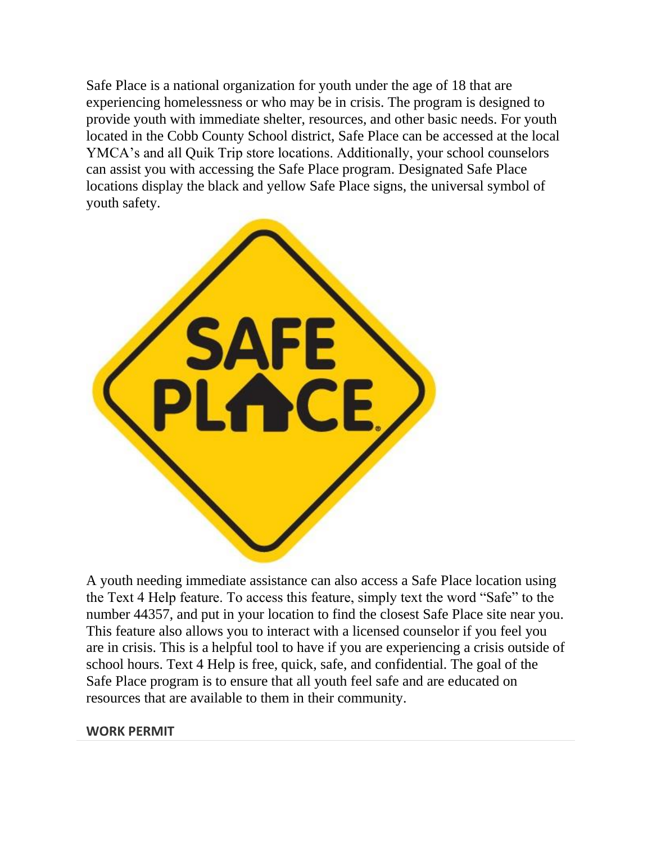Safe Place is a national organization for youth under the age of 18 that are experiencing homelessness or who may be in crisis. The program is designed to provide youth with immediate shelter, resources, and other basic needs. For youth located in the Cobb County School district, Safe Place can be accessed at the local YMCA's and all Quik Trip store locations. Additionally, your school counselors can assist you with accessing the Safe Place program. Designated Safe Place locations display the black and yellow Safe Place signs, the universal symbol of youth safety.



A youth needing immediate assistance can also access a Safe Place location using the Text 4 Help feature. To access this feature, simply text the word "Safe" to the number 44357, and put in your location to find the closest Safe Place site near you. This feature also allows you to interact with a licensed counselor if you feel you are in crisis. This is a helpful tool to have if you are experiencing a crisis outside of school hours. Text 4 Help is free, quick, safe, and confidential. The goal of the Safe Place program is to ensure that all youth feel safe and are educated on resources that are available to them in their community.

#### **WORK PERMIT**